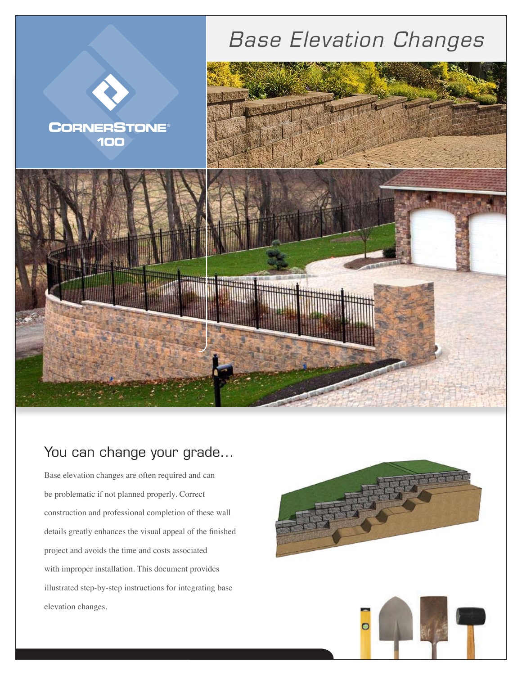

## You can change your grade...

Base elevation changes are often required and can be problematic if not planned properly. Correct construction and professional completion of these wall details greatly enhances the visual appeal of the finished project and avoids the time and costs associated with improper installation. This document provides illustrated step-by-step instructions for integrating base elevation changes.